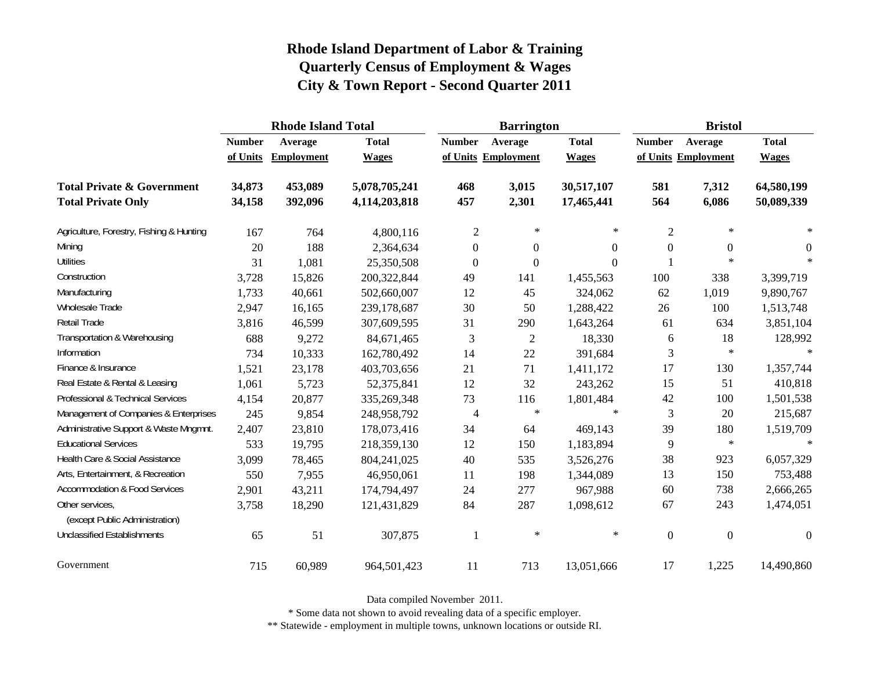|                                                   |               | <b>Rhode Island Total</b> |               |                     | <b>Barrington</b> |              | <b>Bristol</b>   |                     |              |
|---------------------------------------------------|---------------|---------------------------|---------------|---------------------|-------------------|--------------|------------------|---------------------|--------------|
|                                                   | <b>Number</b> | Average                   | <b>Total</b>  | <b>Number</b>       | Average           | <b>Total</b> | <b>Number</b>    | Average             | <b>Total</b> |
|                                                   | of Units      | <b>Employment</b>         | <b>Wages</b>  | of Units Employment |                   | <b>Wages</b> |                  | of Units Employment | <b>Wages</b> |
| <b>Total Private &amp; Government</b>             | 34,873        | 453,089                   | 5,078,705,241 | 468                 | 3,015             | 30,517,107   | 581              | 7,312               | 64,580,199   |
| <b>Total Private Only</b>                         | 34,158        | 392,096                   | 4,114,203,818 | 457                 | 2,301             | 17,465,441   | 564              | 6,086               | 50,089,339   |
| Agriculture, Forestry, Fishing & Hunting          | 167           | 764                       | 4,800,116     | $\mathbf{2}$        | $\ast$            | $\ast$       | $\mathfrak{2}$   | $\ast$              | $\ast$       |
| Mining                                            | 20            | 188                       | 2,364,634     | $\overline{0}$      | $\theta$          | $\Omega$     | $\boldsymbol{0}$ | $\overline{0}$      | $\Omega$     |
| <b>Utilities</b>                                  | 31            | 1,081                     | 25,350,508    | $\boldsymbol{0}$    | $\mathbf{0}$      | $\Omega$     |                  | $\ast$              | $\ast$       |
| Construction                                      | 3,728         | 15,826                    | 200,322,844   | 49                  | 141               | 1,455,563    | 100              | 338                 | 3,399,719    |
| Manufacturing                                     | 1,733         | 40,661                    | 502,660,007   | 12                  | 45                | 324,062      | 62               | 1,019               | 9,890,767    |
| Wholesale Trade                                   | 2,947         | 16,165                    | 239,178,687   | 30                  | 50                | 1,288,422    | 26               | 100                 | 1,513,748    |
| Retail Trade                                      | 3,816         | 46,599                    | 307,609,595   | 31                  | 290               | 1,643,264    | 61               | 634                 | 3,851,104    |
| Transportation & Warehousing                      | 688           | 9,272                     | 84,671,465    | 3                   | $\mathfrak{2}$    | 18,330       | 6                | 18                  | 128,992      |
| Information                                       | 734           | 10,333                    | 162,780,492   | 14                  | 22                | 391,684      | 3                | $\ast$              | $\ast$       |
| Finance & Insurance                               | 1,521         | 23,178                    | 403,703,656   | 21                  | 71                | 1,411,172    | 17               | 130                 | 1,357,744    |
| Real Estate & Rental & Leasing                    | 1,061         | 5,723                     | 52,375,841    | 12                  | 32                | 243,262      | 15               | 51                  | 410,818      |
| Professional & Technical Services                 | 4,154         | 20,877                    | 335,269,348   | 73                  | 116               | 1,801,484    | 42               | 100                 | 1,501,538    |
| Management of Companies & Enterprises             | 245           | 9,854                     | 248,958,792   | 4                   | $\ast$            | $\ast$       | 3                | 20                  | 215,687      |
| Administrative Support & Waste Mngmnt.            | 2,407         | 23,810                    | 178,073,416   | 34                  | 64                | 469,143      | 39               | 180                 | 1,519,709    |
| <b>Educational Services</b>                       | 533           | 19,795                    | 218,359,130   | 12                  | 150               | 1,183,894    | 9                | $\ast$              | $\star$      |
| Health Care & Social Assistance                   | 3,099         | 78,465                    | 804,241,025   | 40                  | 535               | 3,526,276    | 38               | 923                 | 6,057,329    |
| Arts, Entertainment, & Recreation                 | 550           | 7,955                     | 46,950,061    | 11                  | 198               | 1,344,089    | 13               | 150                 | 753,488      |
| <b>Accommodation &amp; Food Services</b>          | 2,901         | 43,211                    | 174,794,497   | 24                  | 277               | 967,988      | 60               | 738                 | 2,666,265    |
| Other services,<br>(except Public Administration) | 3,758         | 18,290                    | 121,431,829   | 84                  | 287               | 1,098,612    | 67               | 243                 | 1,474,051    |
| <b>Unclassified Establishments</b>                | 65            | 51                        | 307,875       | 1                   | $\ast$            | $\ast$       | $\boldsymbol{0}$ | $\boldsymbol{0}$    | $\theta$     |
| Government                                        | 715           | 60,989                    | 964,501,423   | 11                  | 713               | 13,051,666   | 17               | 1,225               | 14,490,860   |

Data compiled November 2011.

\* Some data not shown to avoid revealing data of a specific employer.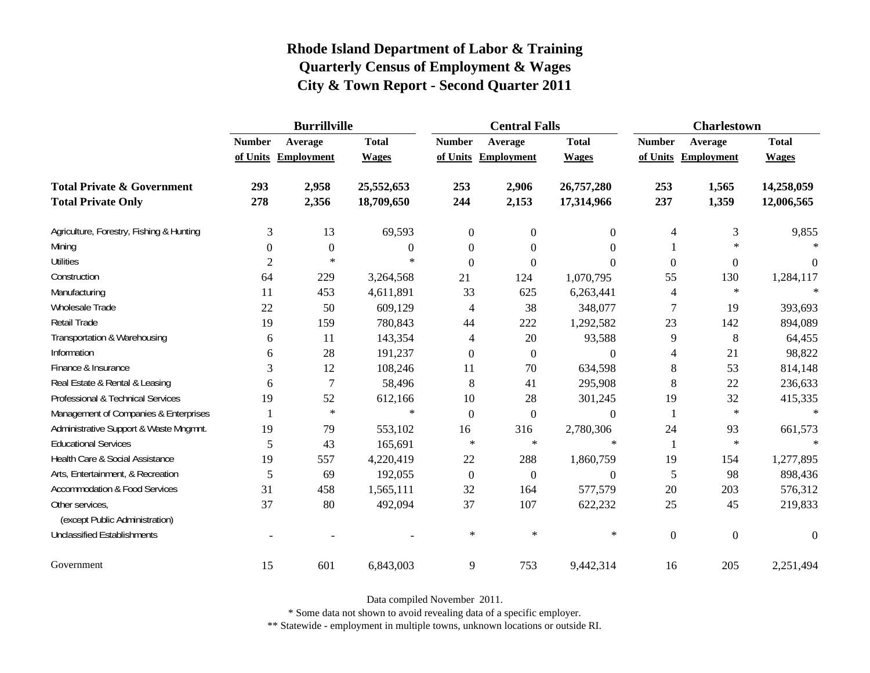|                                          | <b>Burrillville</b> |                     |              |               | <b>Central Falls</b> |                  | <b>Charlestown</b>       |                     |              |
|------------------------------------------|---------------------|---------------------|--------------|---------------|----------------------|------------------|--------------------------|---------------------|--------------|
|                                          | <b>Number</b>       | Average             | <b>Total</b> | <b>Number</b> | Average              | <b>Total</b>     | <b>Number</b>            | Average             | <b>Total</b> |
|                                          |                     | of Units Employment | <b>Wages</b> |               | of Units Employment  | <b>Wages</b>     |                          | of Units Employment | <b>Wages</b> |
| <b>Total Private &amp; Government</b>    | 293                 | 2,958               | 25,552,653   | 253           | 2,906                | 26,757,280       | 253                      | 1,565               | 14,258,059   |
| <b>Total Private Only</b>                | 278                 | 2,356               | 18,709,650   | 244           | 2,153                | 17,314,966       | 237                      | 1,359               | 12,006,565   |
| Agriculture, Forestry, Fishing & Hunting | 3                   | 13                  | 69,593       | $\mathbf{0}$  | $\mathbf{0}$         | $\boldsymbol{0}$ | 4                        | 3                   | 9,855        |
| Mining                                   | $\theta$            | $\overline{0}$      | $\Omega$     | $\theta$      | $\theta$             | $\Omega$         | 1                        | $\ast$              |              |
| <b>Utilities</b>                         | $\overline{c}$      | $\ast$              | $\ast$       | $\theta$      | $\Omega$             | $\Omega$         | $\overline{0}$           | $\overline{0}$      | $\theta$     |
| Construction                             | 64                  | 229                 | 3,264,568    | 21            | 124                  | 1,070,795        | 55                       | 130                 | 1,284,117    |
| Manufacturing                            | 11                  | 453                 | 4,611,891    | 33            | 625                  | 6,263,441        | $\overline{\mathcal{L}}$ | $\ast$              |              |
| Wholesale Trade                          | 22                  | 50                  | 609,129      | 4             | 38                   | 348,077          | $\overline{7}$           | 19                  | 393,693      |
| Retail Trade                             | 19                  | 159                 | 780,843      | 44            | 222                  | 1,292,582        | 23                       | 142                 | 894,089      |
| Transportation & Warehousing             | 6                   | 11                  | 143,354      | 4             | 20                   | 93,588           | 9                        | $\,8\,$             | 64,455       |
| Information                              | 6                   | 28                  | 191,237      | $\theta$      | $\overline{0}$       | $\theta$         | 4                        | 21                  | 98,822       |
| Finance & Insurance                      | 3                   | 12                  | 108,246      | 11            | 70                   | 634,598          | 8                        | 53                  | 814,148      |
| Real Estate & Rental & Leasing           | 6                   | 7                   | 58,496       | 8             | 41                   | 295,908          | 8                        | $22\,$              | 236,633      |
| Professional & Technical Services        | 19                  | 52                  | 612,166      | 10            | 28                   | 301,245          | 19                       | 32                  | 415,335      |
| Management of Companies & Enterprises    |                     | $\ast$              | $\ast$       | $\theta$      | $\overline{0}$       | $\Omega$         | $\mathbf{1}$             | $\ast$              | $\ast$       |
| Administrative Support & Waste Mngmnt.   | 19                  | 79                  | 553,102      | 16            | 316                  | 2,780,306        | 24                       | 93                  | 661,573      |
| <b>Educational Services</b>              | 5                   | 43                  | 165,691      | $\ast$        | $\ast$               | $\ast$           | $\mathbf{1}$             | $\ast$              |              |
| Health Care & Social Assistance          | 19                  | 557                 | 4,220,419    | 22            | 288                  | 1,860,759        | 19                       | 154                 | 1,277,895    |
| Arts, Entertainment, & Recreation        | 5                   | 69                  | 192,055      | $\mathbf{0}$  | $\mathbf{0}$         | $\overline{0}$   | 5                        | 98                  | 898,436      |
| <b>Accommodation &amp; Food Services</b> | 31                  | 458                 | 1,565,111    | 32            | 164                  | 577,579          | 20                       | 203                 | 576,312      |
| Other services,                          | 37                  | 80                  | 492,094      | 37            | 107                  | 622,232          | 25                       | 45                  | 219,833      |
| (except Public Administration)           |                     |                     |              |               |                      |                  |                          |                     |              |
| <b>Unclassified Establishments</b>       |                     |                     |              | $\ast$        | $\ast$               | $\ast$           | $\overline{0}$           | $\mathbf{0}$        | $\theta$     |
| Government                               | 15                  | 601                 | 6,843,003    | 9             | 753                  | 9,442,314        | 16                       | 205                 | 2,251,494    |

Data compiled November 2011.

\* Some data not shown to avoid revealing data of a specific employer.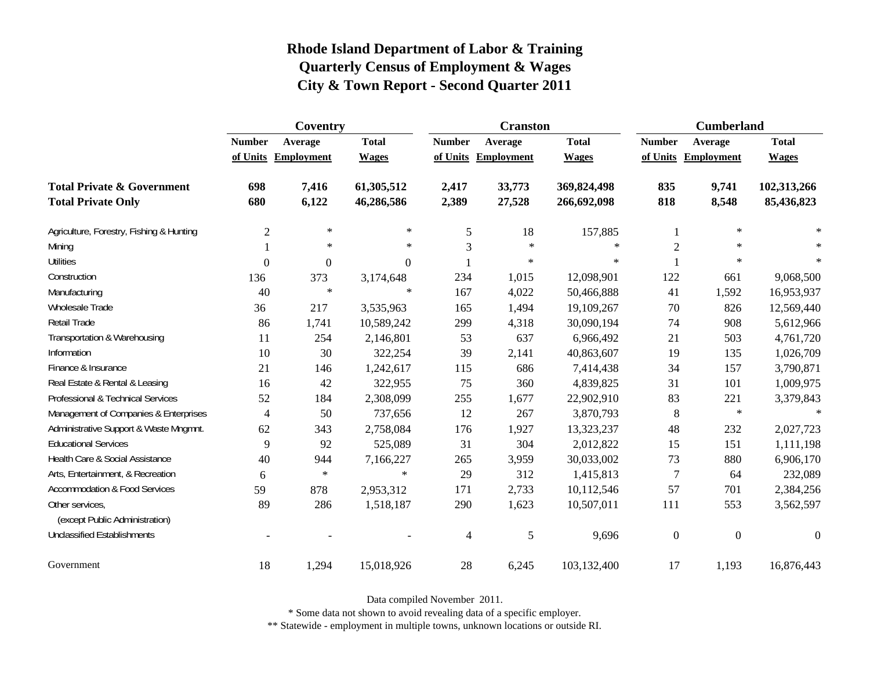|                                                   | Coventry      |                     |                |                | <b>Cranston</b>     |              | <b>Cumberland</b> |                     |                  |
|---------------------------------------------------|---------------|---------------------|----------------|----------------|---------------------|--------------|-------------------|---------------------|------------------|
|                                                   | <b>Number</b> | Average             | <b>Total</b>   | <b>Number</b>  | Average             | <b>Total</b> | <b>Number</b>     | Average             | <b>Total</b>     |
|                                                   |               | of Units Employment | <b>Wages</b>   |                | of Units Employment | <b>Wages</b> |                   | of Units Employment | <b>Wages</b>     |
| <b>Total Private &amp; Government</b>             | 698           | 7,416               | 61,305,512     | 2,417          | 33,773              | 369,824,498  | 835               | 9,741               | 102,313,266      |
| <b>Total Private Only</b>                         | 680           | 6,122               | 46,286,586     | 2,389          | 27,528              | 266,692,098  | 818               | 8,548               | 85,436,823       |
| Agriculture, Forestry, Fishing & Hunting          | $\sqrt{2}$    | $\ast$              | $\ast$         | 5              | 18                  | 157,885      |                   | $\ast$              | $\ast$           |
| Mining                                            |               | $\ast$              | $\ast$         | 3              | $\ast$              | $\ast$       | $\overline{2}$    | $\ast$              |                  |
| <b>Utilities</b>                                  | $\theta$      | $\boldsymbol{0}$    | $\overline{0}$ |                | $\ast$              | $\ast$       |                   | $\ast$              | $\ast$           |
| Construction                                      | 136           | 373                 | 3,174,648      | 234            | 1,015               | 12,098,901   | 122               | 661                 | 9,068,500        |
| Manufacturing                                     | 40            | $\ast$              | $\ast$         | 167            | 4,022               | 50,466,888   | 41                | 1,592               | 16,953,937       |
| <b>Wholesale Trade</b>                            | 36            | 217                 | 3,535,963      | 165            | 1,494               | 19,109,267   | 70                | 826                 | 12,569,440       |
| Retail Trade                                      | 86            | 1,741               | 10,589,242     | 299            | 4,318               | 30,090,194   | 74                | 908                 | 5,612,966        |
| Transportation & Warehousing                      | 11            | 254                 | 2,146,801      | 53             | 637                 | 6,966,492    | 21                | 503                 | 4,761,720        |
| Information                                       | 10            | 30                  | 322,254        | 39             | 2,141               | 40,863,607   | 19                | 135                 | 1,026,709        |
| Finance & Insurance                               | 21            | 146                 | 1,242,617      | 115            | 686                 | 7,414,438    | 34                | 157                 | 3,790,871        |
| Real Estate & Rental & Leasing                    | 16            | 42                  | 322,955        | 75             | 360                 | 4,839,825    | 31                | 101                 | 1,009,975        |
| Professional & Technical Services                 | 52            | 184                 | 2,308,099      | 255            | 1,677               | 22,902,910   | 83                | 221                 | 3,379,843        |
| Management of Companies & Enterprises             | 4             | 50                  | 737,656        | 12             | 267                 | 3,870,793    | 8                 | $\ast$              | $\star$          |
| Administrative Support & Waste Mngmnt.            | 62            | 343                 | 2,758,084      | 176            | 1,927               | 13,323,237   | 48                | 232                 | 2,027,723        |
| <b>Educational Services</b>                       | 9             | 92                  | 525,089        | 31             | 304                 | 2,012,822    | 15                | 151                 | 1,111,198        |
| Health Care & Social Assistance                   | 40            | 944                 | 7,166,227      | 265            | 3,959               | 30,033,002   | 73                | 880                 | 6,906,170        |
| Arts, Entertainment, & Recreation                 | 6             | $\ast$              | $\ast$         | 29             | 312                 | 1,415,813    | $\tau$            | 64                  | 232,089          |
| <b>Accommodation &amp; Food Services</b>          | 59            | 878                 | 2,953,312      | 171            | 2,733               | 10,112,546   | 57                | 701                 | 2,384,256        |
| Other services,<br>(except Public Administration) | 89            | 286                 | 1,518,187      | 290            | 1,623               | 10,507,011   | 111               | 553                 | 3,562,597        |
| <b>Unclassified Establishments</b>                |               |                     |                | $\overline{4}$ | 5                   | 9,696        | $\boldsymbol{0}$  | $\overline{0}$      | $\boldsymbol{0}$ |
| Government                                        | 18            | 1,294               | 15,018,926     | 28             | 6,245               | 103,132,400  | 17                | 1,193               | 16,876,443       |

Data compiled November 2011.

\* Some data not shown to avoid revealing data of a specific employer.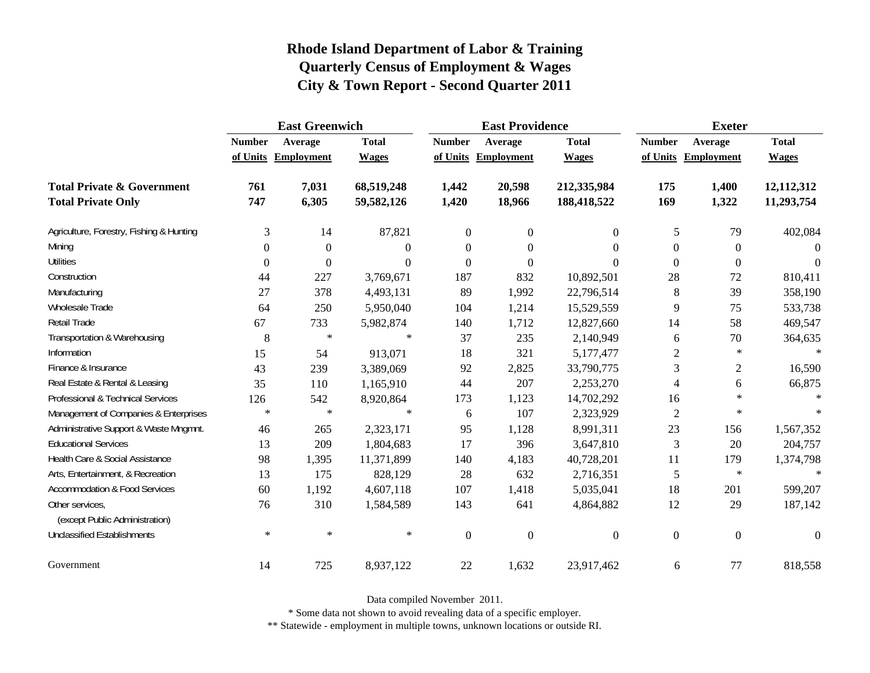|                                                   | <b>East Greenwich</b> |                     |                  |                  | <b>East Providence</b> |                  | <b>Exeter</b>    |                     |              |
|---------------------------------------------------|-----------------------|---------------------|------------------|------------------|------------------------|------------------|------------------|---------------------|--------------|
|                                                   | <b>Number</b>         | Average             | <b>Total</b>     | <b>Number</b>    | Average                | <b>Total</b>     | <b>Number</b>    | Average             | <b>Total</b> |
|                                                   |                       | of Units Employment | <b>Wages</b>     |                  | of Units Employment    | <b>Wages</b>     |                  | of Units Employment | <b>Wages</b> |
| <b>Total Private &amp; Government</b>             | 761                   | 7,031               | 68,519,248       | 1,442            | 20,598                 | 212,335,984      | 175              | 1,400               | 12,112,312   |
| <b>Total Private Only</b>                         | 747                   | 6,305               | 59,582,126       | 1,420            | 18,966                 | 188,418,522      | 169              | 1,322               | 11,293,754   |
| Agriculture, Forestry, Fishing & Hunting          | 3                     | 14                  | 87,821           | $\boldsymbol{0}$ | $\boldsymbol{0}$       | $\Omega$         | 5                | 79                  | 402,084      |
| Mining                                            | $\Omega$              | $\Omega$            | $\Omega$         | $\Omega$         | $\theta$               | 0                | $\boldsymbol{0}$ | $\theta$            | $\Omega$     |
| <b>Utilities</b>                                  | $\boldsymbol{0}$      | $\theta$            | $\boldsymbol{0}$ | $\overline{0}$   | $\overline{0}$         | $\Omega$         | $\overline{0}$   | $\theta$            | $\theta$     |
| Construction                                      | 44                    | 227                 | 3,769,671        | 187              | 832                    | 10,892,501       | 28               | 72                  | 810,411      |
| Manufacturing                                     | 27                    | 378                 | 4,493,131        | 89               | 1,992                  | 22,796,514       | $8\phantom{1}$   | 39                  | 358,190      |
| Wholesale Trade                                   | 64                    | 250                 | 5,950,040        | 104              | 1,214                  | 15,529,559       | 9                | 75                  | 533,738      |
| Retail Trade                                      | 67                    | 733                 | 5,982,874        | 140              | 1,712                  | 12,827,660       | 14               | 58                  | 469,547      |
| Transportation & Warehousing                      | 8                     | $\ast$              | $\ast$           | 37               | 235                    | 2,140,949        | 6                | $70\,$              | 364,635      |
| Information                                       | 15                    | 54                  | 913,071          | 18               | 321                    | 5,177,477        | 2                | $\ast$              | $\ast$       |
| Finance & Insurance                               | 43                    | 239                 | 3,389,069        | 92               | 2,825                  | 33,790,775       | 3                | $\overline{2}$      | 16,590       |
| Real Estate & Rental & Leasing                    | 35                    | 110                 | 1,165,910        | 44               | 207                    | 2,253,270        | $\overline{4}$   | 6                   | 66,875       |
| Professional & Technical Services                 | 126                   | 542                 | 8,920,864        | 173              | 1,123                  | 14,702,292       | 16               | $\ast$              | $\ast$       |
| Management of Companies & Enterprises             | $\ast$                | $\ast$              | $\ast$           | 6                | 107                    | 2,323,929        | $\mathfrak{2}$   | $\ast$              | $\ast$       |
| Administrative Support & Waste Mngmnt.            | 46                    | 265                 | 2,323,171        | 95               | 1,128                  | 8,991,311        | 23               | 156                 | 1,567,352    |
| <b>Educational Services</b>                       | 13                    | 209                 | 1,804,683        | 17               | 396                    | 3,647,810        | 3                | 20                  | 204,757      |
| Health Care & Social Assistance                   | 98                    | 1,395               | 11,371,899       | 140              | 4,183                  | 40,728,201       | 11               | 179                 | 1,374,798    |
| Arts, Entertainment, & Recreation                 | 13                    | 175                 | 828,129          | 28               | 632                    | 2,716,351        | 5                | $\ast$              | $\star$      |
| <b>Accommodation &amp; Food Services</b>          | 60                    | 1,192               | 4,607,118        | 107              | 1,418                  | 5,035,041        | 18               | 201                 | 599,207      |
| Other services,<br>(except Public Administration) | 76                    | 310                 | 1,584,589        | 143              | 641                    | 4,864,882        | 12               | 29                  | 187,142      |
| <b>Unclassified Establishments</b>                | $\ast$                | $\ast$              | $\ast$           | $\boldsymbol{0}$ | $\boldsymbol{0}$       | $\boldsymbol{0}$ | $\boldsymbol{0}$ | $\boldsymbol{0}$    | $\theta$     |
| Government                                        | 14                    | 725                 | 8,937,122        | 22               | 1,632                  | 23,917,462       | 6                | 77                  | 818,558      |

Data compiled November 2011.

\* Some data not shown to avoid revealing data of a specific employer.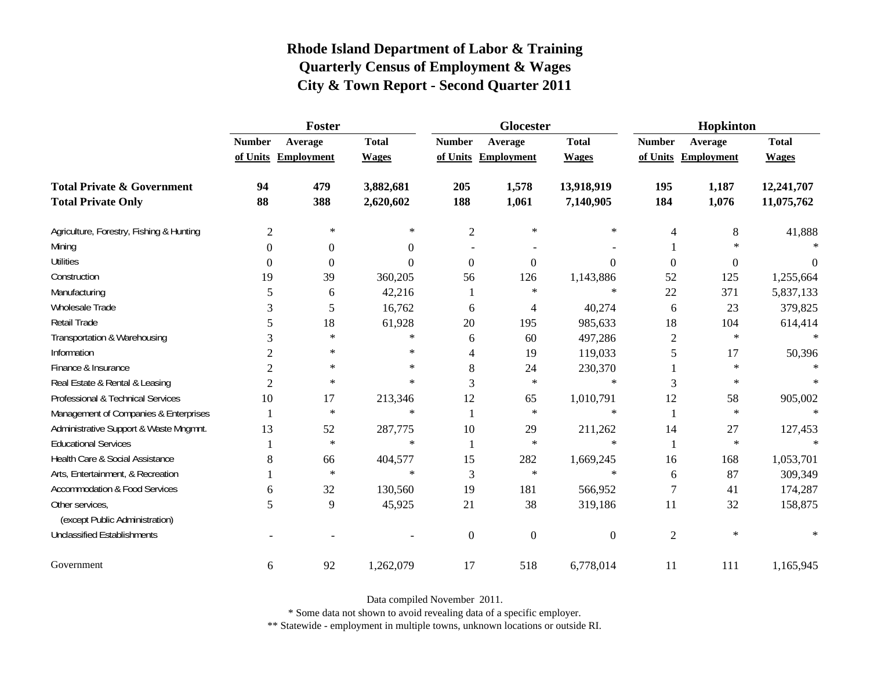|                                                   | Foster           |                     |              |                | <b>Glocester</b>    |                | Hopkinton        |                     |              |
|---------------------------------------------------|------------------|---------------------|--------------|----------------|---------------------|----------------|------------------|---------------------|--------------|
|                                                   | <b>Number</b>    | Average             | <b>Total</b> | <b>Number</b>  | Average             | <b>Total</b>   | <b>Number</b>    | Average             | <b>Total</b> |
|                                                   |                  | of Units Employment | <b>Wages</b> |                | of Units Employment | <b>Wages</b>   |                  | of Units Employment | <b>Wages</b> |
| <b>Total Private &amp; Government</b>             | 94               | 479                 | 3,882,681    | 205            | 1,578               | 13,918,919     | 195              | 1,187               | 12,241,707   |
| <b>Total Private Only</b>                         | 88               | 388                 | 2,620,602    | 188            | 1,061               | 7,140,905      | 184              | 1,076               | 11,075,762   |
| Agriculture, Forestry, Fishing & Hunting          | $\overline{2}$   | $\ast$              | $\ast$       | $\overline{c}$ | $\ast$              | ∗              | 4                | 8                   | 41,888       |
| Mining                                            | $\Omega$         | $\boldsymbol{0}$    | $\Omega$     |                |                     |                |                  | $\ast$              |              |
| <b>Utilities</b>                                  | $\boldsymbol{0}$ | $\boldsymbol{0}$    | $\Omega$     | $\theta$       | $\mathbf{0}$        | $\Omega$       | $\overline{0}$   | $\boldsymbol{0}$    | $\Omega$     |
| Construction                                      | 19               | 39                  | 360,205      | 56             | 126                 | 1,143,886      | 52               | 125                 | 1,255,664    |
| Manufacturing                                     | 5                | 6                   | 42,216       |                | $\ast$              | $\ast$         | 22               | 371                 | 5,837,133    |
| Wholesale Trade                                   | 3                | 5                   | 16,762       | 6              | $\overline{4}$      | 40,274         | 6                | 23                  | 379,825      |
| Retail Trade                                      | 5                | 18                  | 61,928       | 20             | 195                 | 985,633        | 18               | 104                 | 614,414      |
| Transportation & Warehousing                      | 3                | $\ast$              | $\ast$       | 6              | 60                  | 497,286        | $\sqrt{2}$       | $\ast$              |              |
| Information                                       | 2                | $\ast$              | $\ast$       | 4              | 19                  | 119,033        | 5                | 17                  | 50,396       |
| Finance & Insurance                               | $\overline{c}$   | $\ast$              | $\ast$       | 8              | 24                  | 230,370        |                  | $\ast$              |              |
| Real Estate & Rental & Leasing                    | $\overline{c}$   | $\ast$              | $\ast$       | 3              | $\ast$              | $\ast$         | 3                | $\ast$              |              |
| Professional & Technical Services                 | 10               | 17                  | 213,346      | 12             | 65                  | 1,010,791      | 12               | 58                  | 905,002      |
| Management of Companies & Enterprises             | 1                | $\ast$              | $\ast$       | $\mathbf{1}$   | $\ast$              | $\ast$         | $\mathbf{1}$     | $\ast$              | $\ast$       |
| Administrative Support & Waste Mngmnt.            | 13               | 52                  | 287,775      | 10             | 29                  | 211,262        | 14               | $27\,$              | 127,453      |
| <b>Educational Services</b>                       |                  | $\ast$              | $\ast$       |                | $\ast$              | $\ast$         | $\mathbf{1}$     | $\ast$              |              |
| Health Care & Social Assistance                   | 8                | 66                  | 404,577      | 15             | 282                 | 1,669,245      | 16               | 168                 | 1,053,701    |
| Arts, Entertainment, & Recreation                 |                  | $\ast$              | $\ast$       | 3              | $\ast$              | $\ast$         | 6                | 87                  | 309,349      |
| <b>Accommodation &amp; Food Services</b>          | 6                | 32                  | 130,560      | 19             | 181                 | 566,952        | $\boldsymbol{7}$ | 41                  | 174,287      |
| Other services,<br>(except Public Administration) | 5                | 9                   | 45,925       | 21             | 38                  | 319,186        | 11               | 32                  | 158,875      |
| <b>Unclassified Establishments</b>                |                  |                     |              | $\theta$       | $\theta$            | $\overline{0}$ | $\mathfrak{2}$   | $\ast$              |              |
| Government                                        | 6                | 92                  | 1,262,079    | 17             | 518                 | 6,778,014      | 11               | 111                 | 1,165,945    |

Data compiled November 2011.

\* Some data not shown to avoid revealing data of a specific employer.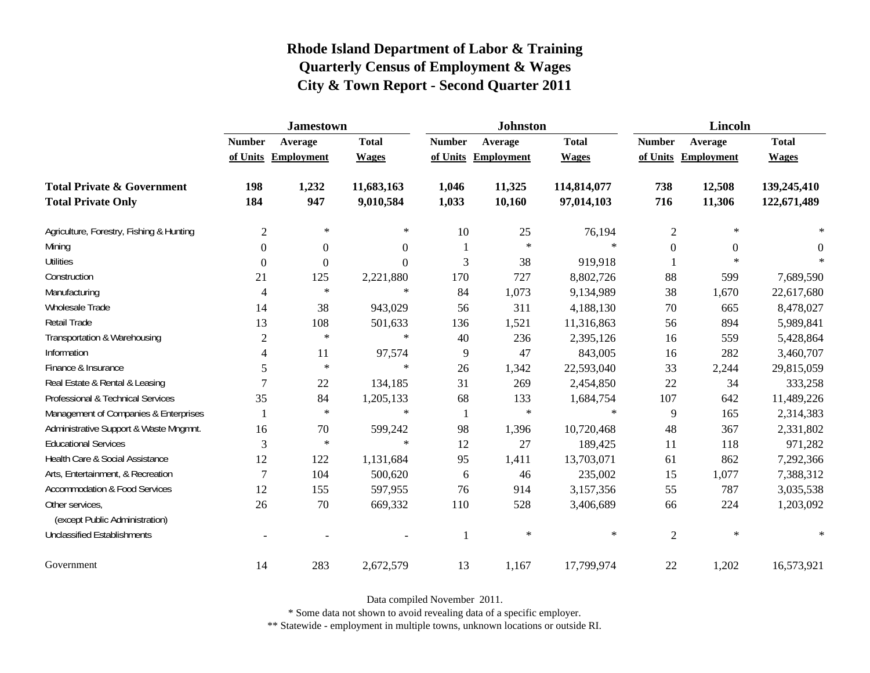|                                                   | <b>Jamestown</b> |                     |                |               | <b>Johnston</b>   |              | <b>Lincoln</b> |                     |              |
|---------------------------------------------------|------------------|---------------------|----------------|---------------|-------------------|--------------|----------------|---------------------|--------------|
|                                                   | <b>Number</b>    | Average             | <b>Total</b>   | <b>Number</b> | Average           | <b>Total</b> | <b>Number</b>  | Average             | <b>Total</b> |
|                                                   |                  | of Units Employment | <b>Wages</b>   | of Units      | <b>Employment</b> | <b>Wages</b> |                | of Units Employment | <b>Wages</b> |
| <b>Total Private &amp; Government</b>             | 198              | 1,232               | 11,683,163     | 1,046         | 11,325            | 114,814,077  | 738            | 12,508              | 139,245,410  |
| <b>Total Private Only</b>                         | 184              | 947                 | 9,010,584      | 1,033         | 10,160            | 97,014,103   | 716            | 11,306              | 122,671,489  |
| Agriculture, Forestry, Fishing & Hunting          | $\mathfrak{2}$   | $\ast$              | ∗              | 10            | $25\,$            | 76,194       | $\mathfrak{2}$ | $\ast$              |              |
| Mining                                            | $\Omega$         | $\boldsymbol{0}$    | $\overline{0}$ |               | $\ast$            | $\ast$       | $\Omega$       | $\Omega$            | $\Omega$     |
| <b>Utilities</b>                                  | $\Omega$         | $\theta$            | $\overline{0}$ | 3             | 38                | 919,918      |                | $\ast$              |              |
| Construction                                      | 21               | 125                 | 2,221,880      | 170           | 727               | 8,802,726    | 88             | 599                 | 7,689,590    |
| Manufacturing                                     | 4                | $\ast$              | $\ast$         | 84            | 1,073             | 9,134,989    | 38             | 1,670               | 22,617,680   |
| Wholesale Trade                                   | 14               | 38                  | 943,029        | 56            | 311               | 4,188,130    | $70\,$         | 665                 | 8,478,027    |
| Retail Trade                                      | 13               | 108                 | 501,633        | 136           | 1,521             | 11,316,863   | 56             | 894                 | 5,989,841    |
| Transportation & Warehousing                      | $\mathfrak{2}$   | $\ast$              | $\ast$         | 40            | 236               | 2,395,126    | 16             | 559                 | 5,428,864    |
| Information                                       | 4                | 11                  | 97,574         | 9             | 47                | 843,005      | 16             | 282                 | 3,460,707    |
| Finance & Insurance                               | 5                | $\ast$              | $\ast$         | 26            | 1,342             | 22,593,040   | 33             | 2,244               | 29,815,059   |
| Real Estate & Rental & Leasing                    | 7                | 22                  | 134,185        | 31            | 269               | 2,454,850    | 22             | 34                  | 333,258      |
| Professional & Technical Services                 | 35               | 84                  | 1,205,133      | 68            | 133               | 1,684,754    | 107            | 642                 | 11,489,226   |
| Management of Companies & Enterprises             |                  | $\ast$              | $\ast$         |               | $\ast$            | $\ast$       | 9              | 165                 | 2,314,383    |
| Administrative Support & Waste Mngmnt.            | 16               | 70                  | 599,242        | 98            | 1,396             | 10,720,468   | 48             | 367                 | 2,331,802    |
| <b>Educational Services</b>                       | 3                | $\ast$              | $\ast$         | 12            | 27                | 189,425      | 11             | 118                 | 971,282      |
| Health Care & Social Assistance                   | 12               | 122                 | 1,131,684      | 95            | 1,411             | 13,703,071   | 61             | 862                 | 7,292,366    |
| Arts, Entertainment, & Recreation                 | 7                | 104                 | 500,620        | 6             | 46                | 235,002      | 15             | 1,077               | 7,388,312    |
| <b>Accommodation &amp; Food Services</b>          | 12               | 155                 | 597,955        | 76            | 914               | 3,157,356    | 55             | 787                 | 3,035,538    |
| Other services,<br>(except Public Administration) | 26               | 70                  | 669,332        | 110           | 528               | 3,406,689    | 66             | 224                 | 1,203,092    |
| <b>Unclassified Establishments</b>                |                  |                     |                | $\mathbf{1}$  | $\ast$            | $\ast$       | $\overline{2}$ | $\ast$              | $\ast$       |
| Government                                        | 14               | 283                 | 2,672,579      | 13            | 1,167             | 17,799,974   | $22\,$         | 1,202               | 16,573,921   |

Data compiled November 2011.

\* Some data not shown to avoid revealing data of a specific employer.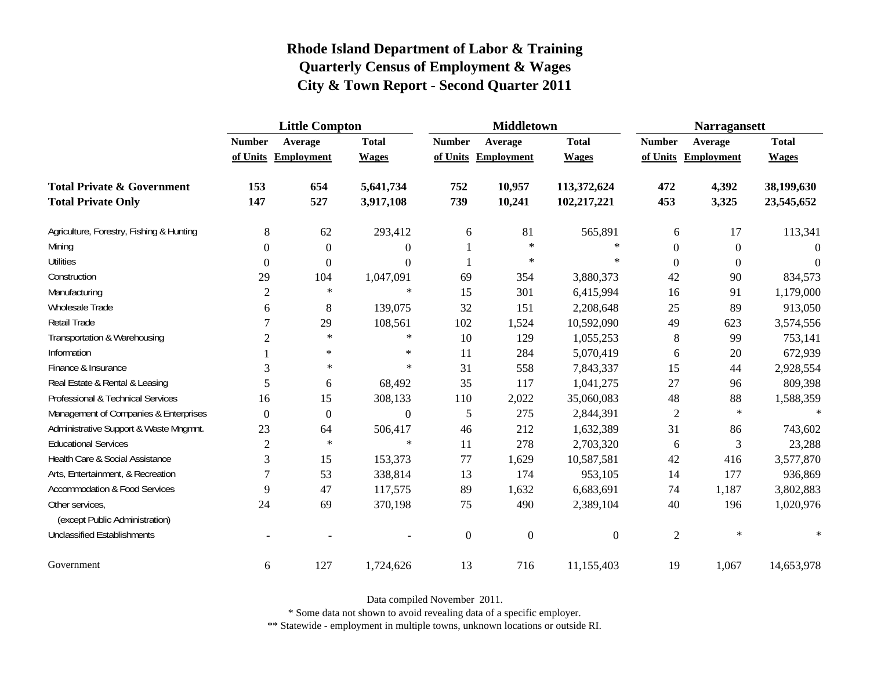|                                                   | <b>Little Compton</b> |                     |              |                | <b>Middletown</b>   |              | <b>Narragansett</b> |                     |              |
|---------------------------------------------------|-----------------------|---------------------|--------------|----------------|---------------------|--------------|---------------------|---------------------|--------------|
|                                                   | <b>Number</b>         | Average             | <b>Total</b> | <b>Number</b>  | Average             | <b>Total</b> | <b>Number</b>       | Average             | <b>Total</b> |
|                                                   |                       | of Units Employment | <b>Wages</b> |                | of Units Employment | <b>Wages</b> |                     | of Units Employment | <b>Wages</b> |
| <b>Total Private &amp; Government</b>             | 153                   | 654                 | 5,641,734    | 752            | 10,957              | 113,372,624  | 472                 | 4,392               | 38,199,630   |
| <b>Total Private Only</b>                         | 147                   | 527                 | 3,917,108    | 739            | 10,241              | 102,217,221  | 453                 | 3,325               | 23,545,652   |
| Agriculture, Forestry, Fishing & Hunting          | 8                     | 62                  | 293,412      | 6              | 81                  | 565,891      | 6                   | 17                  | 113,341      |
| Mining                                            | 0                     | $\boldsymbol{0}$    | $\theta$     |                | $\ast$              | $\ast$       | $\boldsymbol{0}$    | $\boldsymbol{0}$    | $\Omega$     |
| <b>Utilities</b>                                  | 0                     | $\overline{0}$      | $\mathbf{0}$ |                | $\ast$              | $\ast$       | $\boldsymbol{0}$    | $\boldsymbol{0}$    | $\Omega$     |
| Construction                                      | 29                    | 104                 | 1,047,091    | 69             | 354                 | 3,880,373    | 42                  | 90                  | 834,573      |
| Manufacturing                                     | $\overline{c}$        | $\ast$              | $\ast$       | 15             | 301                 | 6,415,994    | 16                  | 91                  | 1,179,000    |
| Wholesale Trade                                   | 6                     | 8                   | 139,075      | 32             | 151                 | 2,208,648    | 25                  | 89                  | 913,050      |
| Retail Trade                                      | 7                     | 29                  | 108,561      | 102            | 1,524               | 10,592,090   | 49                  | 623                 | 3,574,556    |
| Transportation & Warehousing                      | $\mathfrak{2}$        | $\ast$              | $\ast$       | 10             | 129                 | 1,055,253    | $\,8\,$             | 99                  | 753,141      |
| Information                                       |                       | $\ast$              | $\ast$       | 11             | 284                 | 5,070,419    | 6                   | 20                  | 672,939      |
| Finance & Insurance                               | 3                     | $\ast$              | $\ast$       | 31             | 558                 | 7,843,337    | 15                  | 44                  | 2,928,554    |
| Real Estate & Rental & Leasing                    | 5                     | 6                   | 68,492       | 35             | 117                 | 1,041,275    | 27                  | 96                  | 809,398      |
| Professional & Technical Services                 | 16                    | 15                  | 308,133      | 110            | 2,022               | 35,060,083   | 48                  | 88                  | 1,588,359    |
| Management of Companies & Enterprises             | $\Omega$              | $\overline{0}$      | $\mathbf{0}$ | 5              | 275                 | 2,844,391    | $\mathfrak{2}$      | $\ast$              | $\star$      |
| Administrative Support & Waste Mngmnt.            | 23                    | 64                  | 506,417      | 46             | 212                 | 1,632,389    | 31                  | 86                  | 743,602      |
| <b>Educational Services</b>                       | $\overline{2}$        | $\ast$              | $\ast$       | 11             | 278                 | 2,703,320    | 6                   | 3                   | 23,288       |
| Health Care & Social Assistance                   | 3                     | 15                  | 153,373      | 77             | 1,629               | 10,587,581   | 42                  | 416                 | 3,577,870    |
| Arts, Entertainment, & Recreation                 | $\overline{7}$        | 53                  | 338,814      | 13             | 174                 | 953,105      | 14                  | 177                 | 936,869      |
| <b>Accommodation &amp; Food Services</b>          | 9                     | 47                  | 117,575      | 89             | 1,632               | 6,683,691    | 74                  | 1,187               | 3,802,883    |
| Other services,<br>(except Public Administration) | 24                    | 69                  | 370,198      | 75             | 490                 | 2,389,104    | 40                  | 196                 | 1,020,976    |
| <b>Unclassified Establishments</b>                |                       |                     |              | $\overline{0}$ | $\boldsymbol{0}$    | $\Omega$     | $\overline{2}$      | $\ast$              | $\ast$       |
| Government                                        | 6                     | 127                 | 1,724,626    | 13             | 716                 | 11,155,403   | 19                  | 1,067               | 14,653,978   |

Data compiled November 2011.

\* Some data not shown to avoid revealing data of a specific employer.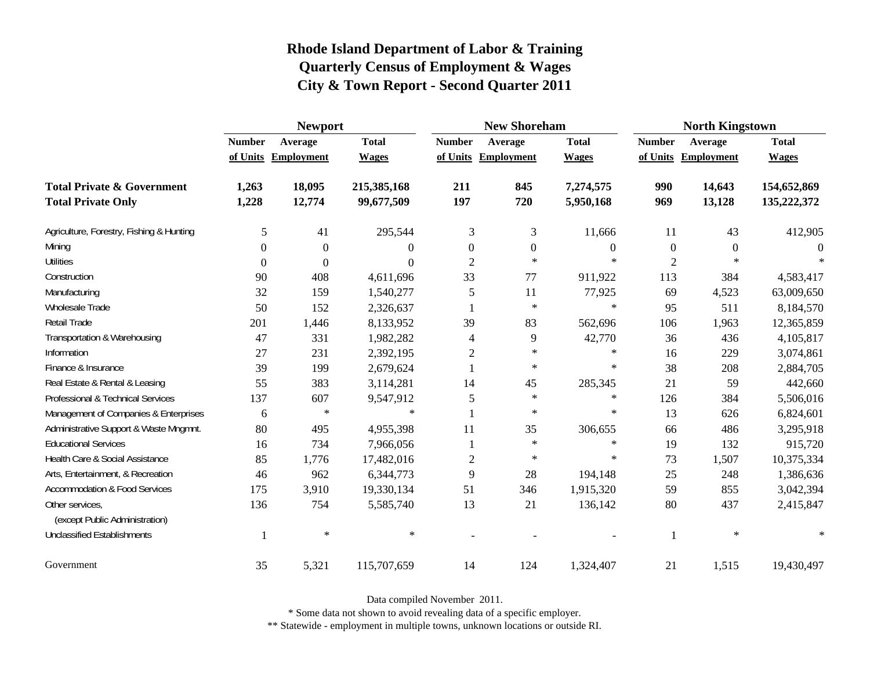|                                                   | <b>Newport</b> |                     |              |                  | <b>New Shoreham</b> |                | <b>North Kingstown</b> |                     |              |
|---------------------------------------------------|----------------|---------------------|--------------|------------------|---------------------|----------------|------------------------|---------------------|--------------|
|                                                   | <b>Number</b>  | Average             | <b>Total</b> | <b>Number</b>    | Average             | <b>Total</b>   | <b>Number</b>          | Average             | <b>Total</b> |
|                                                   |                | of Units Employment | <b>Wages</b> |                  | of Units Employment | <b>Wages</b>   |                        | of Units Employment | <b>Wages</b> |
| <b>Total Private &amp; Government</b>             | 1,263          | 18,095              | 215,385,168  | 211              | 845                 | 7,274,575      | 990                    | 14,643              | 154,652,869  |
| <b>Total Private Only</b>                         | 1,228          | 12,774              | 99,677,509   | 197              | 720                 | 5,950,168      | 969                    | 13,128              | 135,222,372  |
| Agriculture, Forestry, Fishing & Hunting          | 5              | 41                  | 295,544      | 3                | 3                   | 11,666         | 11                     | 43                  | 412,905      |
| Mining                                            | 0              | $\Omega$            | 0            | $\theta$         | $\overline{0}$      | $\overline{0}$ | $\mathbf{0}$           | $\Omega$            | $\Omega$     |
| <b>Utilities</b>                                  | $\Omega$       | $\Omega$            | $\Omega$     | $\overline{2}$   | $\ast$              | $\ast$         | $\overline{2}$         | $\ast$              |              |
| Construction                                      | 90             | 408                 | 4,611,696    | 33               | 77                  | 911,922        | 113                    | 384                 | 4,583,417    |
| Manufacturing                                     | 32             | 159                 | 1,540,277    | 5                | 11                  | 77,925         | 69                     | 4,523               | 63,009,650   |
| Wholesale Trade                                   | 50             | 152                 | 2,326,637    |                  | $\ast$              | $\ast$         | 95                     | 511                 | 8,184,570    |
| Retail Trade                                      | 201            | 1,446               | 8,133,952    | 39               | 83                  | 562,696        | 106                    | 1,963               | 12,365,859   |
| Transportation & Warehousing                      | 47             | 331                 | 1,982,282    | 4                | 9                   | 42,770         | 36                     | 436                 | 4,105,817    |
| Information                                       | 27             | 231                 | 2,392,195    | $\mathfrak{2}$   | $\ast$              | ∗              | 16                     | 229                 | 3,074,861    |
| Finance & Insurance                               | 39             | 199                 | 2,679,624    |                  | $\ast$              | $\ast$         | 38                     | 208                 | 2,884,705    |
| Real Estate & Rental & Leasing                    | 55             | 383                 | 3,114,281    | 14               | 45                  | 285,345        | 21                     | 59                  | 442,660      |
| Professional & Technical Services                 | 137            | 607                 | 9,547,912    | 5                | $\ast$              | $\ast$         | 126                    | 384                 | 5,506,016    |
| Management of Companies & Enterprises             | 6              | $\ast$              | $\ast$       |                  | $\ast$              | $\ast$         | 13                     | 626                 | 6,824,601    |
| Administrative Support & Waste Mngmnt.            | 80             | 495                 | 4,955,398    | 11               | 35                  | 306,655        | 66                     | 486                 | 3,295,918    |
| <b>Educational Services</b>                       | 16             | 734                 | 7,966,056    |                  | $\ast$              | $\ast$         | 19                     | 132                 | 915,720      |
| Health Care & Social Assistance                   | 85             | 1,776               | 17,482,016   | $\boldsymbol{2}$ | $\ast$              | $\ast$         | 73                     | 1,507               | 10,375,334   |
| Arts, Entertainment, & Recreation                 | 46             | 962                 | 6,344,773    | 9                | 28                  | 194,148        | 25                     | 248                 | 1,386,636    |
| <b>Accommodation &amp; Food Services</b>          | 175            | 3,910               | 19,330,134   | 51               | 346                 | 1,915,320      | 59                     | 855                 | 3,042,394    |
| Other services,<br>(except Public Administration) | 136            | 754                 | 5,585,740    | 13               | 21                  | 136,142        | 80                     | 437                 | 2,415,847    |
| <b>Unclassified Establishments</b>                |                | $\ast$              | $\ast$       |                  |                     |                |                        | $\ast$              | $\ast$       |
| Government                                        | 35             | 5,321               | 115,707,659  | 14               | 124                 | 1,324,407      | 21                     | 1,515               | 19,430,497   |

Data compiled November 2011.

\* Some data not shown to avoid revealing data of a specific employer.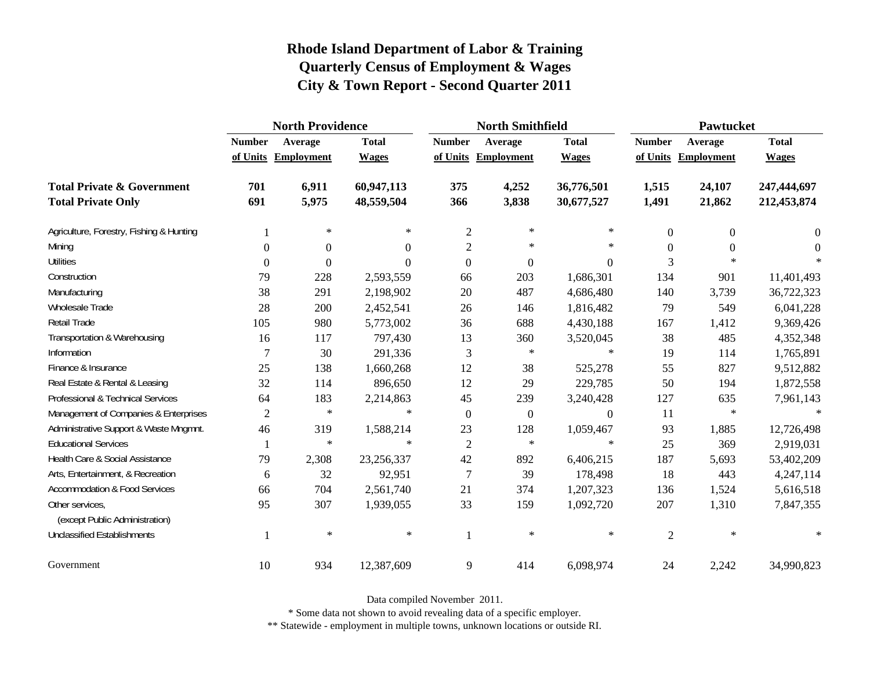|                                                   | <b>North Providence</b> |                     |              |                  | <b>North Smithfield</b> |                | <b>Pawtucket</b> |                     |              |
|---------------------------------------------------|-------------------------|---------------------|--------------|------------------|-------------------------|----------------|------------------|---------------------|--------------|
|                                                   | <b>Number</b>           | Average             | <b>Total</b> | <b>Number</b>    | Average                 | <b>Total</b>   | <b>Number</b>    | Average             | <b>Total</b> |
|                                                   |                         | of Units Employment | <b>Wages</b> |                  | of Units Employment     | <b>Wages</b>   |                  | of Units Employment | <b>Wages</b> |
| <b>Total Private &amp; Government</b>             | 701                     | 6,911               | 60,947,113   | 375              | 4,252                   | 36,776,501     | 1,515            | 24,107              | 247,444,697  |
| <b>Total Private Only</b>                         | 691                     | 5,975               | 48,559,504   | 366              | 3,838                   | 30,677,527     | 1,491            | 21,862              | 212,453,874  |
| Agriculture, Forestry, Fishing & Hunting          |                         | $\ast$              | $\ast$       | $\overline{2}$   | $\ast$                  | $\ast$         | $\theta$         | $\theta$            | $\theta$     |
| Mining                                            | 0                       | $\boldsymbol{0}$    | $\theta$     | $\overline{c}$   | $\ast$                  | $\ast$         | $\Omega$         | $\theta$            | $\theta$     |
| <b>Utilities</b>                                  | $\boldsymbol{0}$        | $\theta$            | $\Omega$     | $\overline{0}$   | $\boldsymbol{0}$        | $\overline{0}$ | 3                | $\ast$              |              |
| Construction                                      | 79                      | 228                 | 2,593,559    | 66               | 203                     | 1,686,301      | 134              | 901                 | 11,401,493   |
| Manufacturing                                     | 38                      | 291                 | 2,198,902    | 20               | 487                     | 4,686,480      | 140              | 3,739               | 36,722,323   |
| Wholesale Trade                                   | 28                      | 200                 | 2,452,541    | 26               | 146                     | 1,816,482      | 79               | 549                 | 6,041,228    |
| Retail Trade                                      | 105                     | 980                 | 5,773,002    | 36               | 688                     | 4,430,188      | 167              | 1,412               | 9,369,426    |
| Transportation & Warehousing                      | 16                      | 117                 | 797,430      | 13               | 360                     | 3,520,045      | 38               | 485                 | 4,352,348    |
| Information                                       | $\overline{7}$          | 30                  | 291,336      | 3                | $\ast$                  | $\ast$         | 19               | 114                 | 1,765,891    |
| Finance & Insurance                               | 25                      | 138                 | 1,660,268    | 12               | 38                      | 525,278        | 55               | 827                 | 9,512,882    |
| Real Estate & Rental & Leasing                    | 32                      | 114                 | 896,650      | 12               | 29                      | 229,785        | 50               | 194                 | 1,872,558    |
| Professional & Technical Services                 | 64                      | 183                 | 2,214,863    | 45               | 239                     | 3,240,428      | 127              | 635                 | 7,961,143    |
| Management of Companies & Enterprises             | $\overline{c}$          | $\ast$              | $\ast$       | $\boldsymbol{0}$ | $\boldsymbol{0}$        | $\overline{0}$ | 11               | $\ast$              | $\ast$       |
| Administrative Support & Waste Mngmnt.            | 46                      | 319                 | 1,588,214    | 23               | 128                     | 1,059,467      | 93               | 1,885               | 12,726,498   |
| <b>Educational Services</b>                       |                         | $\ast$              | $\ast$       | $\overline{2}$   | $\ast$                  | $\ast$         | 25               | 369                 | 2,919,031    |
| Health Care & Social Assistance                   | 79                      | 2,308               | 23,256,337   | 42               | 892                     | 6,406,215      | 187              | 5,693               | 53,402,209   |
| Arts, Entertainment, & Recreation                 | 6                       | 32                  | 92,951       | $\tau$           | 39                      | 178,498        | 18               | 443                 | 4,247,114    |
| <b>Accommodation &amp; Food Services</b>          | 66                      | 704                 | 2,561,740    | 21               | 374                     | 1,207,323      | 136              | 1,524               | 5,616,518    |
| Other services,<br>(except Public Administration) | 95                      | 307                 | 1,939,055    | 33               | 159                     | 1,092,720      | 207              | 1,310               | 7,847,355    |
| <b>Unclassified Establishments</b>                |                         | $\ast$              | $\ast$       | 1                | $\ast$                  | $\ast$         | $\overline{2}$   | $\ast$              | $\ast$       |
| Government                                        | 10                      | 934                 | 12,387,609   | $\mathbf{9}$     | 414                     | 6,098,974      | 24               | 2,242               | 34,990,823   |

Data compiled November 2011.

\* Some data not shown to avoid revealing data of a specific employer.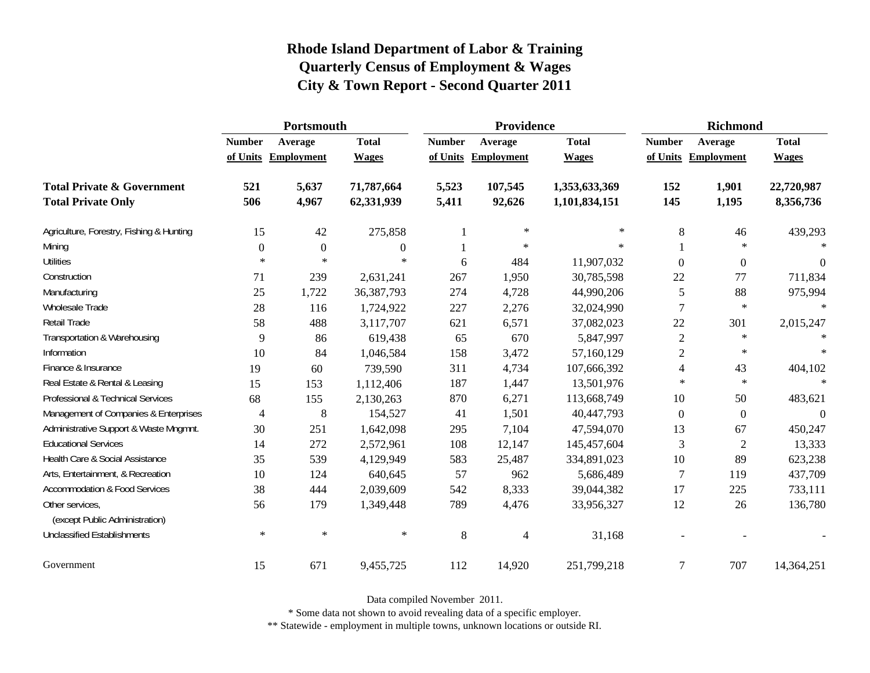|                                                   | Portsmouth     |                     |                |               | Providence          |               | <b>Richmond</b> |                     |                  |
|---------------------------------------------------|----------------|---------------------|----------------|---------------|---------------------|---------------|-----------------|---------------------|------------------|
|                                                   | <b>Number</b>  | Average             | <b>Total</b>   | <b>Number</b> | Average             | <b>Total</b>  | <b>Number</b>   | Average             | <b>Total</b>     |
|                                                   |                | of Units Employment | <b>Wages</b>   |               | of Units Employment | <b>Wages</b>  |                 | of Units Employment | <b>Wages</b>     |
| <b>Total Private &amp; Government</b>             | 521            | 5,637               | 71,787,664     | 5,523         | 107,545             | 1,353,633,369 | 152             | 1,901               | 22,720,987       |
| <b>Total Private Only</b>                         | 506            | 4,967               | 62,331,939     | 5,411         | 92,626              | 1,101,834,151 | 145             | 1,195               | 8,356,736        |
| Agriculture, Forestry, Fishing & Hunting          | 15             | 42                  | 275,858        |               | $\ast$              | $\ast$        | 8               | 46                  | 439,293          |
| Mining                                            | $\overline{0}$ | $\overline{0}$      | $\overline{0}$ |               | $\ast$              | $\star$       |                 | $\ast$              |                  |
| <b>Utilities</b>                                  | $\ast$         | $\star$             | $\star$        | 6             | 484                 | 11,907,032    | $\Omega$        | $\boldsymbol{0}$    | $\boldsymbol{0}$ |
| Construction                                      | 71             | 239                 | 2,631,241      | 267           | 1,950               | 30,785,598    | 22              | 77                  | 711,834          |
| Manufacturing                                     | 25             | 1,722               | 36, 387, 793   | 274           | 4,728               | 44,990,206    | 5               | 88                  | 975,994          |
| Wholesale Trade                                   | 28             | 116                 | 1,724,922      | 227           | 2,276               | 32,024,990    | $\overline{7}$  | $\ast$              | $\ast$           |
| Retail Trade                                      | 58             | 488                 | 3,117,707      | 621           | 6,571               | 37,082,023    | 22              | 301                 | 2,015,247        |
| Transportation & Warehousing                      | 9              | 86                  | 619,438        | 65            | 670                 | 5,847,997     | $\overline{c}$  | $\ast$              |                  |
| Information                                       | 10             | 84                  | 1,046,584      | 158           | 3,472               | 57,160,129    | $\mathfrak{2}$  | $\ast$              | $\ast$           |
| Finance & Insurance                               | 19             | 60                  | 739,590        | 311           | 4,734               | 107,666,392   | 4               | 43                  | 404,102          |
| Real Estate & Rental & Leasing                    | 15             | 153                 | 1,112,406      | 187           | 1,447               | 13,501,976    | $\ast$          | $\ast$              | $\ast$           |
| Professional & Technical Services                 | 68             | 155                 | 2,130,263      | 870           | 6,271               | 113,668,749   | 10              | 50                  | 483,621          |
| Management of Companies & Enterprises             | 4              | 8                   | 154,527        | 41            | 1,501               | 40,447,793    | $\overline{0}$  | $\mathbf{0}$        | $\Omega$         |
| Administrative Support & Waste Mngmnt.            | 30             | 251                 | 1,642,098      | 295           | 7,104               | 47,594,070    | 13              | 67                  | 450,247          |
| <b>Educational Services</b>                       | 14             | 272                 | 2,572,961      | 108           | 12,147              | 145,457,604   | 3               | 2                   | 13,333           |
| Health Care & Social Assistance                   | 35             | 539                 | 4,129,949      | 583           | 25,487              | 334,891,023   | 10              | 89                  | 623,238          |
| Arts, Entertainment, & Recreation                 | 10             | 124                 | 640,645        | 57            | 962                 | 5,686,489     | $\overline{7}$  | 119                 | 437,709          |
| <b>Accommodation &amp; Food Services</b>          | 38             | 444                 | 2,039,609      | 542           | 8,333               | 39,044,382    | 17              | 225                 | 733,111          |
| Other services,<br>(except Public Administration) | 56             | 179                 | 1,349,448      | 789           | 4,476               | 33,956,327    | 12              | 26                  | 136,780          |
| <b>Unclassified Establishments</b>                | $\ast$         | $\ast$              | $\ast$         | 8             | 4                   | 31,168        |                 |                     |                  |
| Government                                        | 15             | 671                 | 9,455,725      | 112           | 14,920              | 251,799,218   | $\overline{7}$  | 707                 | 14,364,251       |

Data compiled November 2011.

\* Some data not shown to avoid revealing data of a specific employer.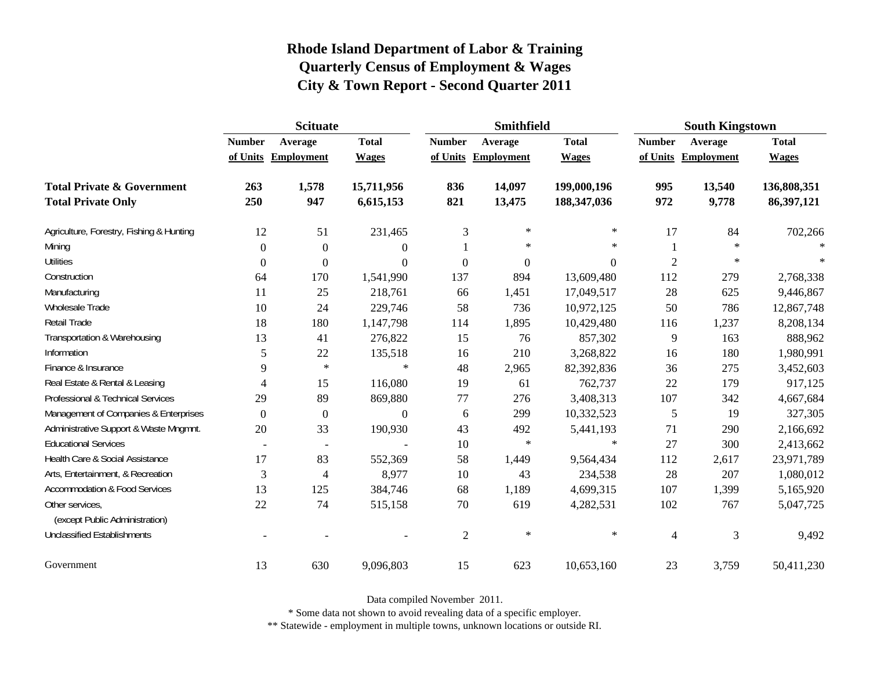|                                                   | <b>Scituate</b> |                     |                |                | <b>Smithfield</b>   |                | <b>South Kingstown</b> |                     |              |
|---------------------------------------------------|-----------------|---------------------|----------------|----------------|---------------------|----------------|------------------------|---------------------|--------------|
|                                                   | <b>Number</b>   | Average             | <b>Total</b>   | <b>Number</b>  | Average             | <b>Total</b>   | <b>Number</b>          | Average             | <b>Total</b> |
|                                                   |                 | of Units Employment | <b>Wages</b>   |                | of Units Employment | <b>Wages</b>   |                        | of Units Employment | <b>Wages</b> |
| <b>Total Private &amp; Government</b>             | 263             | 1,578               | 15,711,956     | 836            | 14,097              | 199,000,196    | 995                    | 13,540              | 136,808,351  |
| <b>Total Private Only</b>                         | 250             | 947                 | 6,615,153      | 821            | 13,475              | 188,347,036    | 972                    | 9,778               | 86,397,121   |
| Agriculture, Forestry, Fishing & Hunting          | 12              | 51                  | 231,465        | 3              | $\ast$              | $\ast$         | 17                     | 84                  | 702,266      |
| Mining                                            | $\Omega$        | $\overline{0}$      | $\overline{0}$ |                | $\ast$              | $\ast$         |                        | $\ast$              |              |
| <b>Utilities</b>                                  | $\Omega$        | $\mathbf{0}$        | $\overline{0}$ | $\overline{0}$ | $\boldsymbol{0}$    | $\overline{0}$ | $\mathfrak{2}$         | $\ast$              | $\ast$       |
| Construction                                      | 64              | 170                 | 1,541,990      | 137            | 894                 | 13,609,480     | 112                    | 279                 | 2,768,338    |
| Manufacturing                                     | 11              | 25                  | 218,761        | 66             | 1,451               | 17,049,517     | 28                     | 625                 | 9,446,867    |
| Wholesale Trade                                   | 10              | 24                  | 229,746        | 58             | 736                 | 10,972,125     | 50                     | 786                 | 12,867,748   |
| Retail Trade                                      | 18              | 180                 | 1,147,798      | 114            | 1,895               | 10,429,480     | 116                    | 1,237               | 8,208,134    |
| Transportation & Warehousing                      | 13              | 41                  | 276,822        | 15             | 76                  | 857,302        | 9                      | 163                 | 888,962      |
| Information                                       | 5               | 22                  | 135,518        | 16             | 210                 | 3,268,822      | 16                     | 180                 | 1,980,991    |
| Finance & Insurance                               | 9               | $\ast$              | $\ast$         | 48             | 2,965               | 82,392,836     | 36                     | 275                 | 3,452,603    |
| Real Estate & Rental & Leasing                    | 4               | 15                  | 116,080        | 19             | 61                  | 762,737        | 22                     | 179                 | 917,125      |
| Professional & Technical Services                 | 29              | 89                  | 869,880        | 77             | 276                 | 3,408,313      | 107                    | 342                 | 4,667,684    |
| Management of Companies & Enterprises             | $\Omega$        | $\Omega$            | $\Omega$       | 6              | 299                 | 10,332,523     | 5                      | 19                  | 327,305      |
| Administrative Support & Waste Mngmnt.            | 20              | 33                  | 190,930        | 43             | 492                 | 5,441,193      | 71                     | 290                 | 2,166,692    |
| <b>Educational Services</b>                       |                 |                     |                | 10             | $\ast$              | $\ast$         | 27                     | 300                 | 2,413,662    |
| Health Care & Social Assistance                   | 17              | 83                  | 552,369        | 58             | 1,449               | 9,564,434      | 112                    | 2,617               | 23,971,789   |
| Arts, Entertainment, & Recreation                 | 3               | $\overline{4}$      | 8,977          | 10             | 43                  | 234,538        | 28                     | 207                 | 1,080,012    |
| <b>Accommodation &amp; Food Services</b>          | 13              | 125                 | 384,746        | 68             | 1,189               | 4,699,315      | 107                    | 1,399               | 5,165,920    |
| Other services,<br>(except Public Administration) | 22              | 74                  | 515,158        | $70\,$         | 619                 | 4,282,531      | 102                    | 767                 | 5,047,725    |
| <b>Unclassified Establishments</b>                |                 |                     |                | $\mathfrak{2}$ | $\ast$              | $\ast$         | 4                      | 3                   | 9,492        |
| Government                                        | 13              | 630                 | 9,096,803      | 15             | 623                 | 10,653,160     | 23                     | 3,759               | 50,411,230   |

Data compiled November 2011.

\* Some data not shown to avoid revealing data of a specific employer.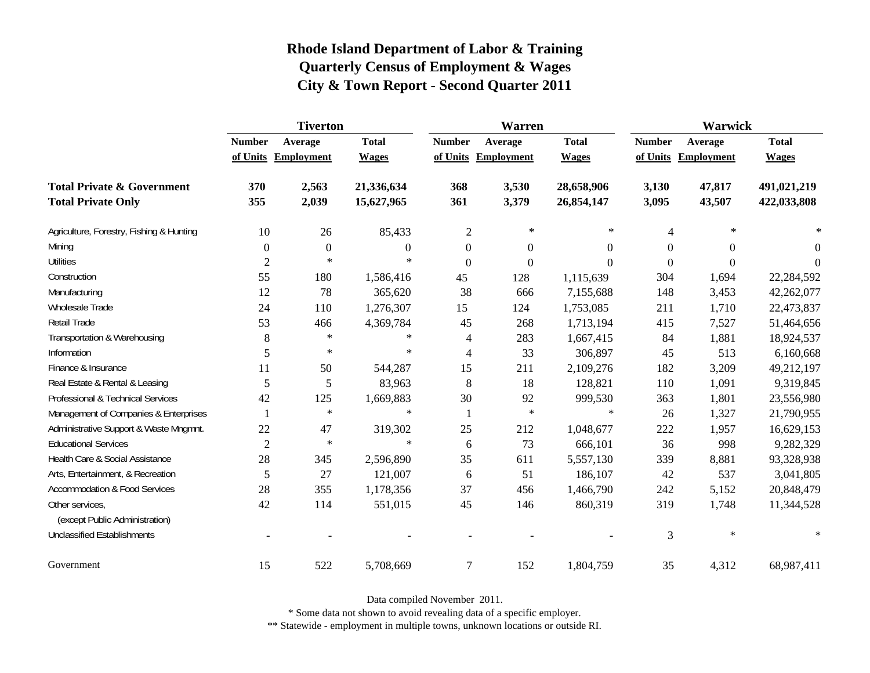|                                                   | <b>Tiverton</b> |                     |              |                | Warren              |                  | Warwick       |                     |              |  |
|---------------------------------------------------|-----------------|---------------------|--------------|----------------|---------------------|------------------|---------------|---------------------|--------------|--|
|                                                   | <b>Number</b>   | Average             | <b>Total</b> | <b>Number</b>  | Average             | <b>Total</b>     | <b>Number</b> | Average             | <b>Total</b> |  |
|                                                   |                 | of Units Employment | <b>Wages</b> |                | of Units Employment | <b>Wages</b>     |               | of Units Employment | <b>Wages</b> |  |
| <b>Total Private &amp; Government</b>             | 370             | 2,563               | 21,336,634   | 368            | 3,530               | 28,658,906       | 3,130         | 47,817              | 491,021,219  |  |
| <b>Total Private Only</b>                         | 355             | 2,039               | 15,627,965   | 361            | 3,379               | 26,854,147       | 3,095         | 43,507              | 422,033,808  |  |
| Agriculture, Forestry, Fishing & Hunting          | 10              | 26                  | 85,433       | $\mathfrak{2}$ | ∗                   | $\ast$           | 4             | $\ast$              |              |  |
| Mining                                            | $\overline{0}$  | $\overline{0}$      | $\theta$     | $\overline{0}$ | $\boldsymbol{0}$    | $\theta$         | $\theta$      | $\Omega$            | $\Omega$     |  |
| <b>Utilities</b>                                  | $\overline{2}$  | $\ast$              | $\ast$       | $\overline{0}$ | $\boldsymbol{0}$    | $\boldsymbol{0}$ | $\Omega$      | $\Omega$            | $\theta$     |  |
| Construction                                      | 55              | 180                 | 1,586,416    | 45             | 128                 | 1,115,639        | 304           | 1,694               | 22,284,592   |  |
| Manufacturing                                     | 12              | 78                  | 365,620      | 38             | 666                 | 7,155,688        | 148           | 3,453               | 42,262,077   |  |
| Wholesale Trade                                   | 24              | 110                 | 1,276,307    | 15             | 124                 | 1,753,085        | 211           | 1,710               | 22,473,837   |  |
| Retail Trade                                      | 53              | 466                 | 4,369,784    | 45             | 268                 | 1,713,194        | 415           | 7,527               | 51,464,656   |  |
| Transportation & Warehousing                      | 8               | $\ast$              | $\ast$       | $\overline{4}$ | 283                 | 1,667,415        | 84            | 1,881               | 18,924,537   |  |
| Information                                       | 5               | $\ast$              | $\ast$       | $\overline{4}$ | 33                  | 306,897          | 45            | 513                 | 6,160,668    |  |
| Finance & Insurance                               | 11              | 50                  | 544,287      | 15             | 211                 | 2,109,276        | 182           | 3,209               | 49,212,197   |  |
| Real Estate & Rental & Leasing                    | 5               | 5                   | 83,963       | $8\phantom{1}$ | 18                  | 128,821          | 110           | 1,091               | 9,319,845    |  |
| Professional & Technical Services                 | 42              | 125                 | 1,669,883    | 30             | 92                  | 999,530          | 363           | 1,801               | 23,556,980   |  |
| Management of Companies & Enterprises             | $\mathbf{1}$    | $\ast$              | $\ast$       | -1             | $\ast$              | $\ast$           | 26            | 1,327               | 21,790,955   |  |
| Administrative Support & Waste Mngmnt.            | 22              | 47                  | 319,302      | 25             | 212                 | 1,048,677        | 222           | 1,957               | 16,629,153   |  |
| <b>Educational Services</b>                       | $\overline{2}$  | $\ast$              | $\ast$       | 6              | 73                  | 666,101          | 36            | 998                 | 9,282,329    |  |
| Health Care & Social Assistance                   | 28              | 345                 | 2,596,890    | 35             | 611                 | 5,557,130        | 339           | 8,881               | 93,328,938   |  |
| Arts, Entertainment, & Recreation                 | 5               | 27                  | 121,007      | 6              | 51                  | 186,107          | 42            | 537                 | 3,041,805    |  |
| <b>Accommodation &amp; Food Services</b>          | 28              | 355                 | 1,178,356    | 37             | 456                 | 1,466,790        | 242           | 5,152               | 20,848,479   |  |
| Other services,<br>(except Public Administration) | 42              | 114                 | 551,015      | 45             | 146                 | 860,319          | 319           | 1,748               | 11,344,528   |  |
| <b>Unclassified Establishments</b>                |                 |                     |              |                |                     |                  | 3             | $\ast$              | $\ast$       |  |
| Government                                        | 15              | 522                 | 5,708,669    | $\overline{7}$ | 152                 | 1,804,759        | 35            | 4,312               | 68,987,411   |  |

Data compiled November 2011.

\* Some data not shown to avoid revealing data of a specific employer.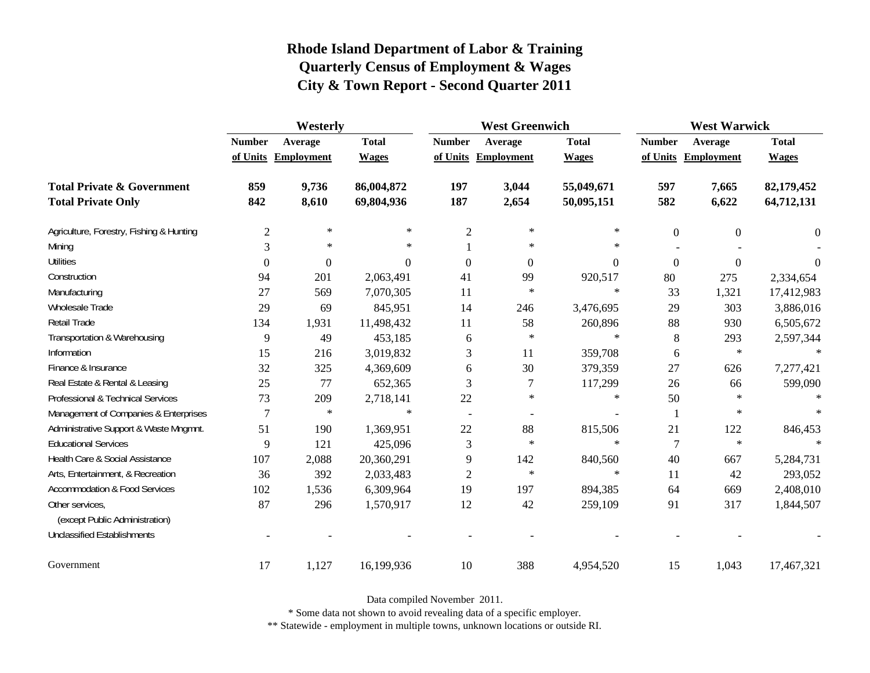|                                                   | Westerly         |                     |              |                | <b>West Greenwich</b> |              | <b>West Warwick</b> |                     |              |
|---------------------------------------------------|------------------|---------------------|--------------|----------------|-----------------------|--------------|---------------------|---------------------|--------------|
|                                                   | <b>Number</b>    | Average             | <b>Total</b> | <b>Number</b>  | Average               | <b>Total</b> | <b>Number</b>       | Average             | <b>Total</b> |
|                                                   |                  | of Units Employment | <b>Wages</b> |                | of Units Employment   | <b>Wages</b> |                     | of Units Employment | <b>Wages</b> |
| <b>Total Private &amp; Government</b>             | 859              | 9,736               | 86,004,872   | 197            | 3,044                 | 55,049,671   | 597                 | 7,665               | 82,179,452   |
| <b>Total Private Only</b>                         | 842              | 8,610               | 69,804,936   | 187            | 2,654                 | 50,095,151   | 582                 | 6,622               | 64,712,131   |
| Agriculture, Forestry, Fishing & Hunting          | $\boldsymbol{2}$ | $\ast$              | $\ast$       | $\overline{2}$ | $\ast$                | $\ast$       | $\boldsymbol{0}$    | $\boldsymbol{0}$    | 0            |
| Mining                                            | 3                | $\ast$              | $\ast$       |                | $\ast$                | $\ast$       |                     |                     |              |
| <b>Utilities</b>                                  | $\boldsymbol{0}$ | $\boldsymbol{0}$    | $\Omega$     | $\theta$       | $\overline{0}$        | $\Omega$     | $\overline{0}$      | $\Omega$            | $\Omega$     |
| Construction                                      | 94               | 201                 | 2,063,491    | 41             | 99                    | 920,517      | 80                  | 275                 | 2,334,654    |
| Manufacturing                                     | 27               | 569                 | 7,070,305    | 11             | $\ast$                | $\ast$       | 33                  | 1,321               | 17,412,983   |
| Wholesale Trade                                   | 29               | 69                  | 845,951      | 14             | 246                   | 3,476,695    | 29                  | 303                 | 3,886,016    |
| <b>Retail Trade</b>                               | 134              | 1,931               | 11,498,432   | 11             | 58                    | 260,896      | 88                  | 930                 | 6,505,672    |
| Transportation & Warehousing                      | 9                | 49                  | 453,185      | 6              | $\ast$                | $\ast$       | 8                   | 293                 | 2,597,344    |
| Information                                       | 15               | 216                 | 3,019,832    | 3              | 11                    | 359,708      | 6                   | $\ast$              | $\ast$       |
| Finance & Insurance                               | 32               | 325                 | 4,369,609    | 6              | 30                    | 379,359      | 27                  | 626                 | 7,277,421    |
| Real Estate & Rental & Leasing                    | 25               | 77                  | 652,365      | 3              | 7                     | 117,299      | 26                  | 66                  | 599,090      |
| Professional & Technical Services                 | 73               | 209                 | 2,718,141    | 22             | $\ast$                | $\ast$       | 50                  | $\ast$              | $\ast$       |
| Management of Companies & Enterprises             | $\overline{7}$   | $\ast$              | $\ast$       |                |                       |              |                     | $\ast$              | 宋            |
| Administrative Support & Waste Mngmnt.            | 51               | 190                 | 1,369,951    | 22             | 88                    | 815,506      | 21                  | 122                 | 846,453      |
| <b>Educational Services</b>                       | 9                | 121                 | 425,096      | 3              | $\ast$                | $\ast$       | $\overline{7}$      | $\ast$              | $\ast$       |
| Health Care & Social Assistance                   | 107              | 2,088               | 20,360,291   | 9              | 142                   | 840,560      | 40                  | 667                 | 5,284,731    |
| Arts, Entertainment, & Recreation                 | 36               | 392                 | 2,033,483    | $\overline{c}$ | $\ast$                | $\ast$       | 11                  | 42                  | 293,052      |
| <b>Accommodation &amp; Food Services</b>          | 102              | 1,536               | 6,309,964    | 19             | 197                   | 894,385      | 64                  | 669                 | 2,408,010    |
| Other services,<br>(except Public Administration) | 87               | 296                 | 1,570,917    | 12             | 42                    | 259,109      | 91                  | 317                 | 1,844,507    |
| <b>Unclassified Establishments</b>                |                  |                     |              |                |                       |              |                     |                     |              |
| Government                                        | 17               | 1,127               | 16,199,936   | 10             | 388                   | 4,954,520    | 15                  | 1,043               | 17,467,321   |

Data compiled November 2011.

\* Some data not shown to avoid revealing data of a specific employer.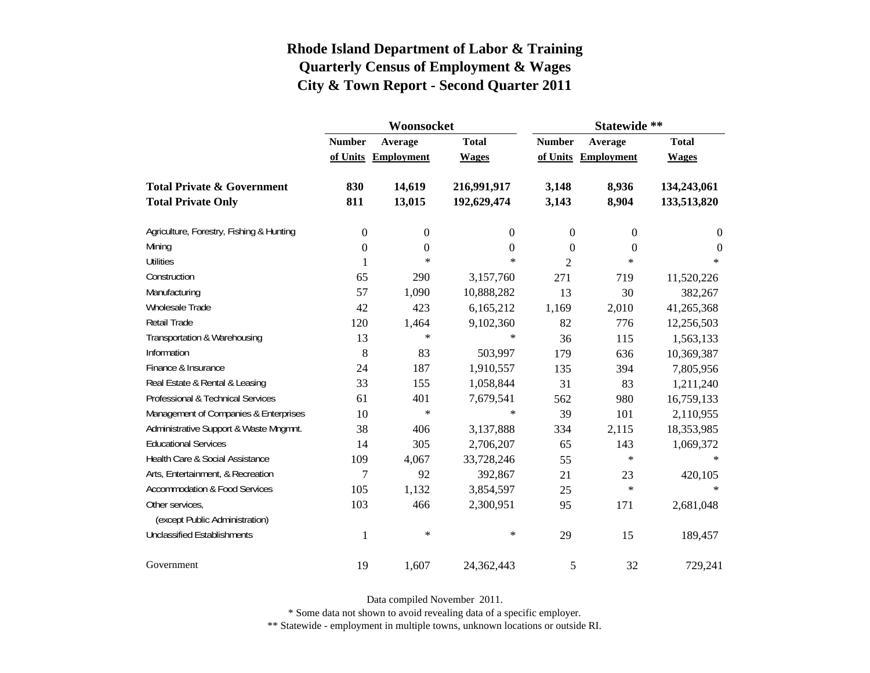|                                          |                  | Woonsocket        |                  | Statewide **     |                   |                  |  |
|------------------------------------------|------------------|-------------------|------------------|------------------|-------------------|------------------|--|
|                                          | <b>Number</b>    | Average           | <b>Total</b>     | <b>Number</b>    | Average           | <b>Total</b>     |  |
|                                          | of Units         | <b>Employment</b> | <b>Wages</b>     | of Units         | <b>Employment</b> | <b>Wages</b>     |  |
| <b>Total Private &amp; Government</b>    | 830              | 14,619            | 216,991,917      | 3,148            | 8,936             | 134,243,061      |  |
| <b>Total Private Only</b>                | 811              | 13,015            | 192,629,474      | 3,143            | 8,904             | 133,513,820      |  |
| Agriculture, Forestry, Fishing & Hunting | $\boldsymbol{0}$ | $\boldsymbol{0}$  | 0                | $\overline{0}$   | $\boldsymbol{0}$  | $\boldsymbol{0}$ |  |
| Mining                                   | $\boldsymbol{0}$ | $\boldsymbol{0}$  | $\boldsymbol{0}$ | $\boldsymbol{0}$ | $\overline{0}$    | $\Omega$         |  |
| <b>Utilities</b>                         | 1                | ∗                 | $\ast$           | 2                | $\ast$            | $*$              |  |
| Construction                             | 65               | 290               | 3,157,760        | 271              | 719               | 11,520,226       |  |
| Manufacturing                            | 57               | 1,090             | 10,888,282       | 13               | 30                | 382,267          |  |
| Wholesale Trade                          | 42               | 423               | 6,165,212        | 1,169            | 2,010             | 41,265,368       |  |
| <b>Retail Trade</b>                      | 120              | 1,464             | 9,102,360        | 82               | 776               | 12,256,503       |  |
| Transportation & Warehousing             | 13               | ∗                 | $\ast$           | 36               | 115               | 1,563,133        |  |
| Information                              | $8\,$            | 83                | 503,997          | 179              | 636               | 10,369,387       |  |
| Finance & Insurance                      | 24               | 187               | 1,910,557        | 135              | 394               | 7,805,956        |  |
| Real Estate & Rental & Leasing           | 33               | 155               | 1,058,844        | 31               | 83                | 1,211,240        |  |
| Professional & Technical Services        | 61               | 401               | 7,679,541        | 562              | 980               | 16,759,133       |  |
| Management of Companies & Enterprises    | 10               | $\ast$            | *                | 39               | 101               | 2,110,955        |  |
| Administrative Support & Waste Mngmnt.   | 38               | 406               | 3,137,888        | 334              | 2,115             | 18,353,985       |  |
| <b>Educational Services</b>              | 14               | 305               | 2,706,207        | 65               | 143               | 1,069,372        |  |
| Health Care & Social Assistance          | 109              | 4,067             | 33,728,246       | 55               | $\ast$            | $\ast$           |  |
| Arts, Entertainment, & Recreation        | $\overline{7}$   | 92                | 392,867          | 21               | 23                | 420,105          |  |
| <b>Accommodation &amp; Food Services</b> | 105              | 1,132             | 3,854,597        | 25               | $\ast$            | $\ast$           |  |
| Other services,                          | 103              | 466               | 2,300,951        | 95               | 171               | 2,681,048        |  |
| (except Public Administration)           |                  |                   |                  |                  |                   |                  |  |
| <b>Unclassified Establishments</b>       | 1                | $\ast$            | $\ast$           | 29               | 15                | 189,457          |  |
| Government                               | 19               | 1,607             | 24,362,443       | 5                | 32                | 729,241          |  |

Data compiled November 2011.

\* Some data not shown to avoid revealing data of a specific employer.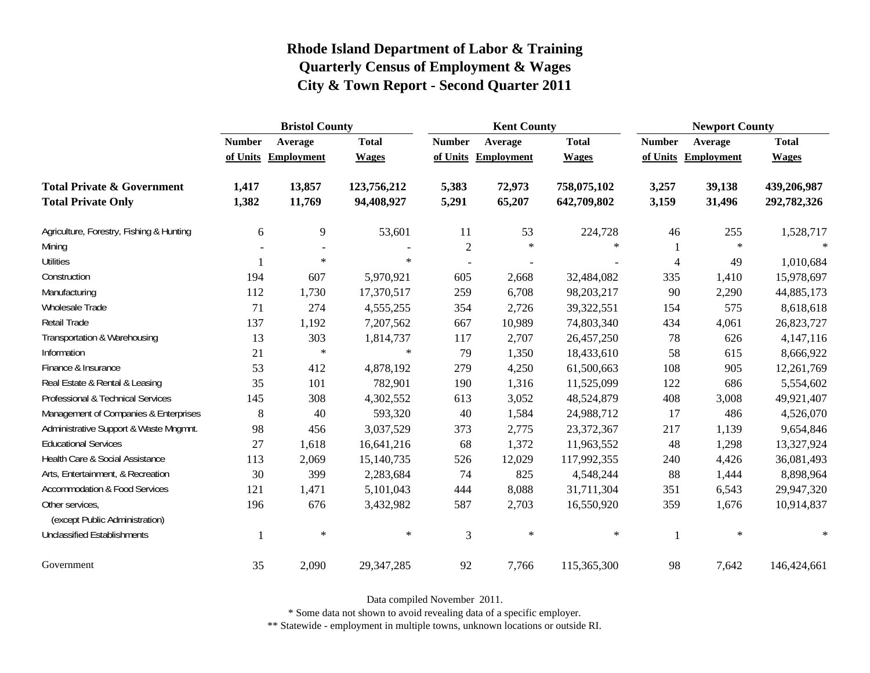|                                                   | <b>Bristol County</b> |                     |              |                | <b>Kent County</b> |              | <b>Newport County</b> |            |              |
|---------------------------------------------------|-----------------------|---------------------|--------------|----------------|--------------------|--------------|-----------------------|------------|--------------|
|                                                   | <b>Number</b>         | Average             | <b>Total</b> | <b>Number</b>  | Average            | <b>Total</b> | <b>Number</b>         | Average    | <b>Total</b> |
|                                                   |                       | of Units Employment | <b>Wages</b> | of Units       | <b>Employment</b>  | <b>Wages</b> | of Units              | Employment | <b>Wages</b> |
| <b>Total Private &amp; Government</b>             | 1,417                 | 13,857              | 123,756,212  | 5,383          | 72,973             | 758,075,102  | 3,257                 | 39,138     | 439,206,987  |
| <b>Total Private Only</b>                         | 1,382                 | 11,769              | 94,408,927   | 5,291          | 65,207             | 642,709,802  | 3,159                 | 31,496     | 292,782,326  |
| Agriculture, Forestry, Fishing & Hunting          | 6                     | 9                   | 53,601       | 11             | 53                 | 224,728      | 46                    | 255        | 1,528,717    |
| Mining                                            |                       |                     |              | $\overline{2}$ | $\ast$             | $\ast$       |                       | $\ast$     | $\ast$       |
| <b>Utilities</b>                                  |                       | $\ast$              | $\ast$       |                |                    |              | $\overline{4}$        | 49         | 1,010,684    |
| Construction                                      | 194                   | 607                 | 5,970,921    | 605            | 2,668              | 32,484,082   | 335                   | 1,410      | 15,978,697   |
| Manufacturing                                     | 112                   | 1,730               | 17,370,517   | 259            | 6,708              | 98,203,217   | 90                    | 2,290      | 44,885,173   |
| Wholesale Trade                                   | 71                    | 274                 | 4,555,255    | 354            | 2,726              | 39,322,551   | 154                   | 575        | 8,618,618    |
| Retail Trade                                      | 137                   | 1,192               | 7,207,562    | 667            | 10,989             | 74,803,340   | 434                   | 4,061      | 26,823,727   |
| Transportation & Warehousing                      | 13                    | 303                 | 1,814,737    | 117            | 2,707              | 26,457,250   | 78                    | 626        | 4,147,116    |
| Information                                       | 21                    | $\ast$              | $\ast$       | 79             | 1,350              | 18,433,610   | 58                    | 615        | 8,666,922    |
| Finance & Insurance                               | 53                    | 412                 | 4,878,192    | 279            | 4,250              | 61,500,663   | 108                   | 905        | 12,261,769   |
| Real Estate & Rental & Leasing                    | 35                    | 101                 | 782,901      | 190            | 1,316              | 11,525,099   | 122                   | 686        | 5,554,602    |
| Professional & Technical Services                 | 145                   | 308                 | 4,302,552    | 613            | 3,052              | 48,524,879   | 408                   | 3,008      | 49,921,407   |
| Management of Companies & Enterprises             | 8                     | 40                  | 593,320      | 40             | 1,584              | 24,988,712   | 17                    | 486        | 4,526,070    |
| Administrative Support & Waste Mngmnt.            | 98                    | 456                 | 3,037,529    | 373            | 2,775              | 23,372,367   | 217                   | 1,139      | 9,654,846    |
| <b>Educational Services</b>                       | 27                    | 1,618               | 16,641,216   | 68             | 1,372              | 11,963,552   | 48                    | 1,298      | 13,327,924   |
| Health Care & Social Assistance                   | 113                   | 2,069               | 15,140,735   | 526            | 12,029             | 117,992,355  | 240                   | 4,426      | 36,081,493   |
| Arts, Entertainment, & Recreation                 | 30                    | 399                 | 2,283,684    | 74             | 825                | 4,548,244    | 88                    | 1,444      | 8,898,964    |
| <b>Accommodation &amp; Food Services</b>          | 121                   | 1,471               | 5,101,043    | 444            | 8,088              | 31,711,304   | 351                   | 6,543      | 29,947,320   |
| Other services,<br>(except Public Administration) | 196                   | 676                 | 3,432,982    | 587            | 2,703              | 16,550,920   | 359                   | 1,676      | 10,914,837   |
| <b>Unclassified Establishments</b>                |                       | $\ast$              | $\ast$       | 3              | $\ast$             | $\ast$       | -1                    | $\ast$     | $\ast$       |
| Government                                        | 35                    | 2,090               | 29,347,285   | 92             | 7,766              | 115,365,300  | 98                    | 7,642      | 146,424,661  |

Data compiled November 2011.

\* Some data not shown to avoid revealing data of a specific employer.